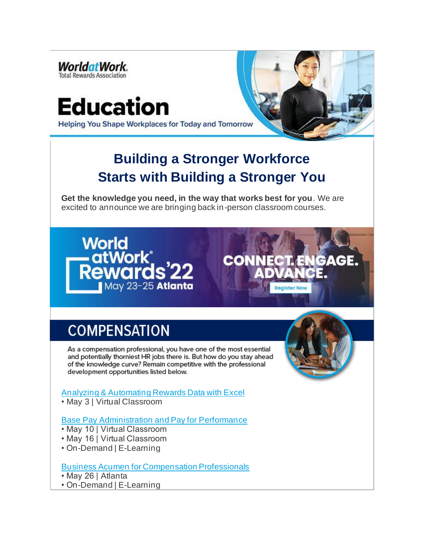

# Education

**Register No** 

Helping You Shape Workplaces for Today and Tomorrow

## **Building a Stronger Workforce Starts with Building a Stronger You**

**Get the knowledge you need, in the way that works best for you**. We are excited to announce we are bringing back in-person classroom courses.



# **COMPENSATION**

As a compensation professional, you have one of the most essential and potentially thorniest HR jobs there is. But how do you stay ahead of the knowledge curve? Remain competitive with the professional development opportunities listed below.

#### Analyzing & Automating Rewards Data with Excel

• May 3 | Virtual Classroom

#### Base Pay Administration and Pay for Performance

- May 10 | Virtual Classroom
- May 16 | Virtual Classroom
- On-Demand | E-Learning

#### Business Acumen for Compensation Professionals

- May 26 | Atlanta
- On-Demand | E-Learning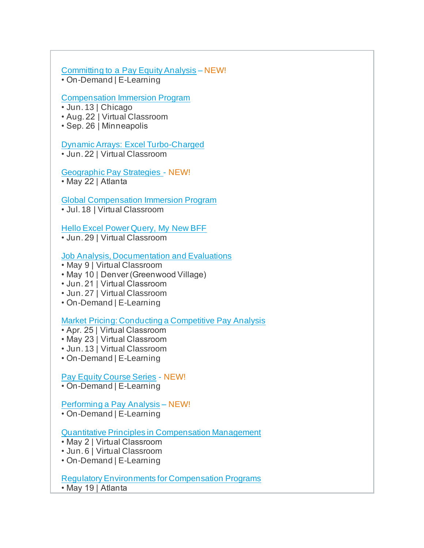#### Committing to a Pay Equity Analysis – NEW!

• On-Demand | E-Learning

#### Compensation Immersion Program

- Jun. 13 | Chicago
- Aug. 22 | Virtual Classroom
- Sep. 26 | Minneapolis

#### Dynamic Arrays: Excel Turbo-Charged

- Jun. 22 | Virtual Classroom
- Geographic Pay Strategies NEW! • May 22 | Atlanta

#### Global Compensation Immersion Program

• Jul. 18 | Virtual Classroom

#### Hello Excel Power Query, My New BFF

• Jun. 29 | Virtual Classroom

#### Job Analysis, Documentation and Evaluations

- May 9 | Virtual Classroom
- May 10 | Denver (Greenwood Village)
- Jun. 21 | Virtual Classroom
- Jun. 27 | Virtual Classroom
- On-Demand | E-Learning

#### Market Pricing: Conducting a Competitive Pay Analysis

- Apr. 25 | Virtual Classroom
- May 23 | Virtual Classroom
- Jun. 13 | Virtual Classroom
- On-Demand | E-Learning

#### Pay Equity Course Series - NEW!

• On-Demand | E-Learning

#### Performing a Pay Analysis – NEW!

• On-Demand | E-Learning

#### Quantitative Principles in Compensation Management

- May 2 | Virtual Classroom
- Jun. 6 | Virtual Classroom
- On-Demand | E-Learning

#### Regulatory Environments for Compensation Programs

• May 19 | Atlanta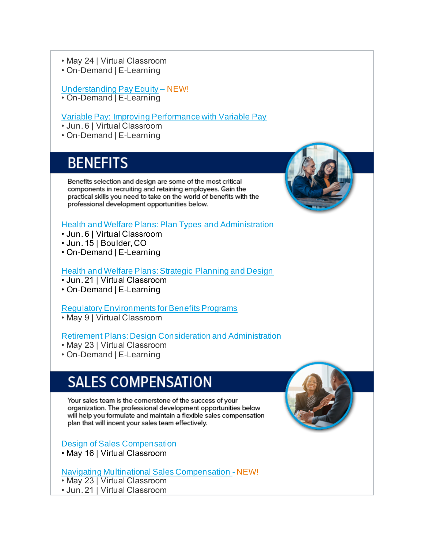- May 24 | Virtual Classroom
- On-Demand | E-Learning

#### Understanding Pay Equity – NEW!

• On-Demand | E-Learning

#### Variable Pay: Improving Performance with Variable Pay

- Jun. 6 | Virtual Classroom
- On-Demand | E-Learning

### **BENEFITS**

Benefits selection and design are some of the most critical components in recruiting and retaining employees. Gain the practical skills you need to take on the world of benefits with the professional development opportunities below.

#### Health and Welfare Plans: Plan Types and Administration

- Jun. 6 | Virtual Classroom
- Jun. 15 | Boulder, CO
- On-Demand | E-Learning

#### Health and Welfare Plans: Strategic Planning and Design

- Jun. 21 | Virtual Classroom
- On-Demand | E-Learning

#### Regulatory Environments for Benefits Programs

• May 9 | Virtual Classroom

#### Retirement Plans: Design Consideration and Administration

- May 23 | Virtual Classroom
- On-Demand | E-Learning

## **SALES COMPENSATION**

Your sales team is the cornerstone of the success of your organization. The professional development opportunities below will help you formulate and maintain a flexible sales compensation plan that will incent your sales team effectively.

#### Design of Sales Compensation

• May 16 | Virtual Classroom

#### Navigating Multinational Sales Compensation - NEW!

- May 23 | Virtual Classroom
- Jun. 21 | Virtual Classroom



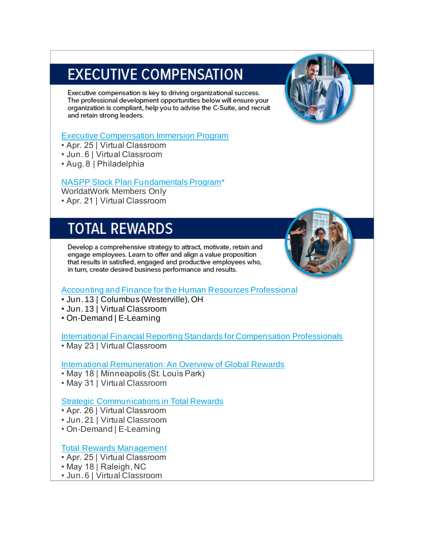# **EXECUTIVE COMPENSATION**

Executive compensation is key to driving organizational success. The professional development opportunities below will ensure your organization is compliant, help you to advise the C-Suite, and recruit and retain strong leaders.

#### Executive Compensation Immersion Program

- Apr. 25 | Virtual Classroom
- Jun. 6 | Virtual Classroom
- Aug. 8 | Philadelphia

#### NASPP Stock Plan Fundamentals Program\*

WorldatWork Members Only

• Apr. 21 | Virtual Classroom

### **TOTAL REWARDS**

Develop a comprehensive strategy to attract, motivate, retain and engage employees. Learn to offer and align a value proposition that results in satisfied, engaged and productive employees who, in turn, create desired business performance and results.



#### Accounting and Finance for the Human Resources Professional

- Jun. 13 | Columbus (Westerville), OH
- Jun. 13 | Virtual Classroom
- On-Demand | E-Learning

#### International Financial Reporting Standards for Compensation Professionals

• May 23 | Virtual Classroom

#### International Remuneration: An Overview of Global Rewards

- May 18 | Minneapolis (St. Louis Park)
- May 31 | Virtual Classroom

#### Strategic Communications in Total Rewards

- Apr. 26 | Virtual Classroom
- Jun. 21 | Virtual Classroom
- On-Demand | E-Learning

#### Total Rewards Management

- Apr. 25 | Virtual Classroom
- May 18 | Raleigh, NC
- Jun. 6 | Virtual Classroom

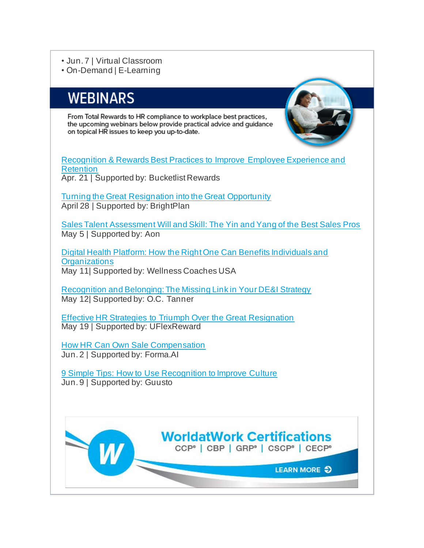#### • Jun. 7 | Virtual Classroom

• On-Demand | E-Learning

### **WEBINARS**

From Total Rewards to HR compliance to workplace best practices, the upcoming webinars below provide practical advice and quidance on topical HR issues to keep you up-to-date.



Recognition & Rewards Best Practices to Improve Employee Experience and **Retention** Apr. 21 | Supported by: Bucketlist Rewards

Turning the Great Resignation into the Great Opportunity April 28 | Supported by: BrightPlan

Sales Talent Assessment Will and Skill: The Yin and Yang of the Best Sales Pros May 5 | Supported by: Aon

Digital Health Platform: How the Right One Can Benefits Individuals and **Organizations** May 11| Supported by: Wellness Coaches USA

Recognition and Belonging: The Missing Link in Your DE&I Strategy May 12| Supported by: O.C. Tanner

Effective HR Strategies to Triumph Over the Great Resignation May 19 | Supported by: UFlexReward

How HR Can Own Sale Compensation Jun. 2 | Supported by: Forma.AI

9 Simple Tips: How to Use Recognition to Improve Culture Jun. 9 | Supported by: Guusto